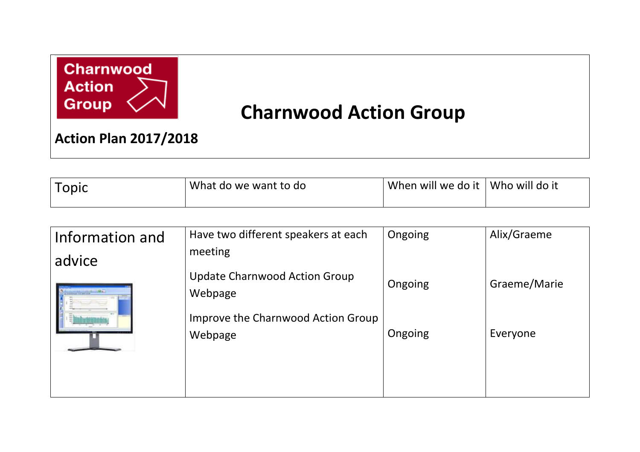

## **Charnwood Action Group**

**Action Plan 2017/2018**

|  | What do we want to do | When will we do it | Who will do it |
|--|-----------------------|--------------------|----------------|
|--|-----------------------|--------------------|----------------|

| Information and | Have two different speakers at each<br>meeting | Ongoing | Alix/Graeme  |
|-----------------|------------------------------------------------|---------|--------------|
| advice          | Update Charnwood Action Group<br>Webpage       | Ongoing | Graeme/Marie |
|                 | Improve the Charnwood Action Group<br>Webpage  | Ongoing | Everyone     |
|                 |                                                |         |              |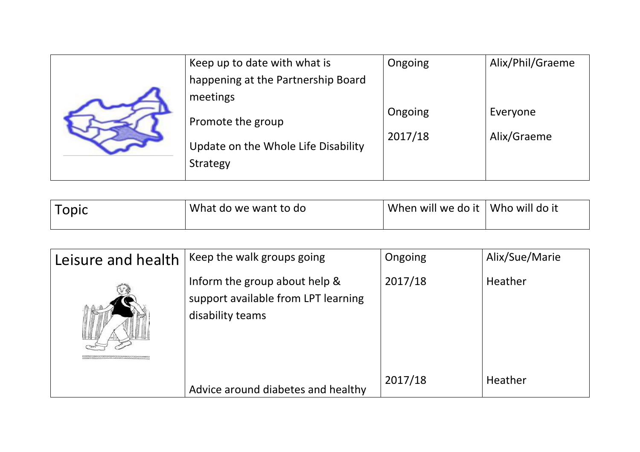|  | Keep up to date with what is        | Ongoing | Alix/Phil/Graeme |
|--|-------------------------------------|---------|------------------|
|  | happening at the Partnership Board  |         |                  |
|  | meetings                            |         |                  |
|  | Promote the group                   | Ongoing | Everyone         |
|  |                                     | 2017/18 | Alix/Graeme      |
|  | Update on the Whole Life Disability |         |                  |
|  | Strategy                            |         |                  |

| Topic | What do we want to do | When will we do it | Who will do it |
|-------|-----------------------|--------------------|----------------|
|-------|-----------------------|--------------------|----------------|

| Leisure and health | Keep the walk groups going                                                               | Ongoing | Alix/Sue/Marie |
|--------------------|------------------------------------------------------------------------------------------|---------|----------------|
|                    | Inform the group about help &<br>support available from LPT learning<br>disability teams | 2017/18 | Heather        |
|                    | Advice around diabetes and healthy                                                       | 2017/18 | Heather        |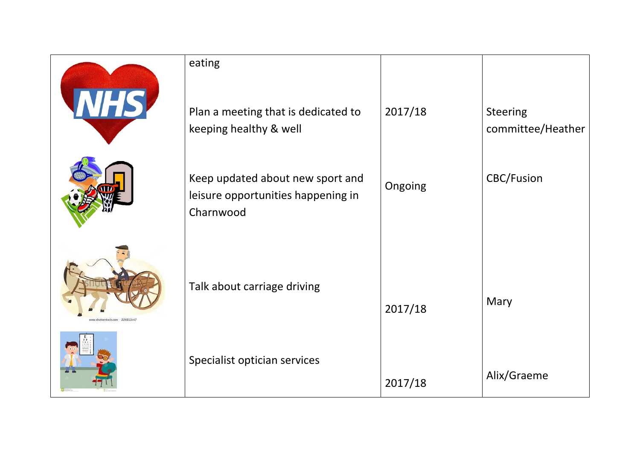|                                | eating<br>Plan a meeting that is dedicated to                                                                 | 2017/18 | <b>Steering</b>                        |
|--------------------------------|---------------------------------------------------------------------------------------------------------------|---------|----------------------------------------|
|                                | keeping healthy & well<br>Keep updated about new sport and<br>leisure opportunities happening in<br>Charnwood | Ongoing | committee/Heather<br><b>CBC/Fusion</b> |
| ww.shutterstock.com - 22681344 | Talk about carriage driving                                                                                   | 2017/18 | Mary                                   |
|                                | Specialist optician services                                                                                  | 2017/18 | Alix/Graeme                            |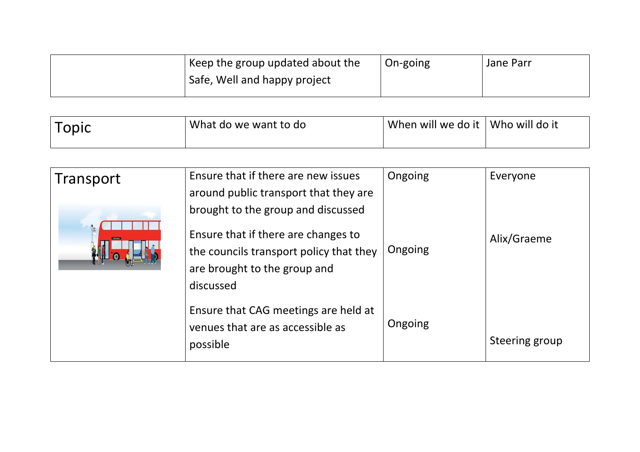| Example 1 Keep the group updated about the | On-going | Jane Parr |
|--------------------------------------------|----------|-----------|
| Safe, Well and happy project               |          |           |
|                                            |          |           |

| Topic | What do we want to do | When will we do it | Who will do it |
|-------|-----------------------|--------------------|----------------|
|-------|-----------------------|--------------------|----------------|

| Transport | Ensure that if there are new issues<br>around public transport that they are                                                                                      | Ongoing | Everyone       |
|-----------|-------------------------------------------------------------------------------------------------------------------------------------------------------------------|---------|----------------|
|           | brought to the group and discussed<br>Ensure that if there are changes to<br>the councils transport policy that they<br>are brought to the group and<br>discussed | Ongoing | Alix/Graeme    |
|           | Ensure that CAG meetings are held at<br>venues that are as accessible as<br>possible                                                                              | Ongoing | Steering group |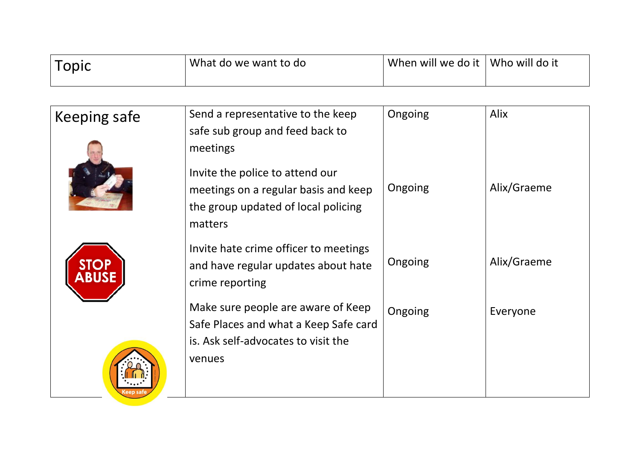| Topic | What do we want to do | When will we do it   Who will do it |  |
|-------|-----------------------|-------------------------------------|--|
|       |                       |                                     |  |

| <b>Keeping safe</b> | Send a representative to the keep<br>safe sub group and feed back to                                                                  | Ongoing | Alix        |
|---------------------|---------------------------------------------------------------------------------------------------------------------------------------|---------|-------------|
|                     | meetings<br>Invite the police to attend our<br>meetings on a regular basis and keep<br>the group updated of local policing<br>matters | Ongoing | Alix/Graeme |
|                     | Invite hate crime officer to meetings<br>and have regular updates about hate<br>crime reporting                                       | Ongoing | Alix/Graeme |
|                     | Make sure people are aware of Keep<br>Safe Places and what a Keep Safe card<br>is. Ask self-advocates to visit the<br>venues          | Ongoing | Everyone    |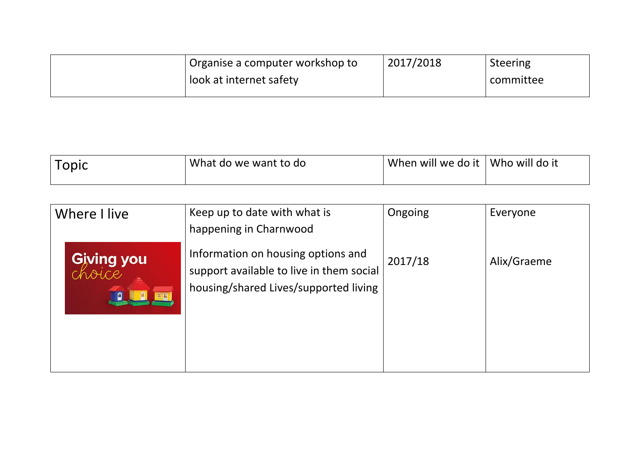| Organise a computer workshop to | 2017/2018 | <b>Steering</b> |
|---------------------------------|-----------|-----------------|
| look at internet safety         |           | committee       |
|                                 |           |                 |

| 'Iopic | What do we want to do | When will we do it | Who will do it |
|--------|-----------------------|--------------------|----------------|
|--------|-----------------------|--------------------|----------------|

| Where I live                           | Keep up to date with what is                                                                                                                      | Ongoing | Everyone    |
|----------------------------------------|---------------------------------------------------------------------------------------------------------------------------------------------------|---------|-------------|
| <b>Giving you</b><br>choice<br>日日<br>g | happening in Charnwood<br>Information on housing options and<br>support available to live in them social<br>housing/shared Lives/supported living | 2017/18 | Alix/Graeme |
|                                        |                                                                                                                                                   |         |             |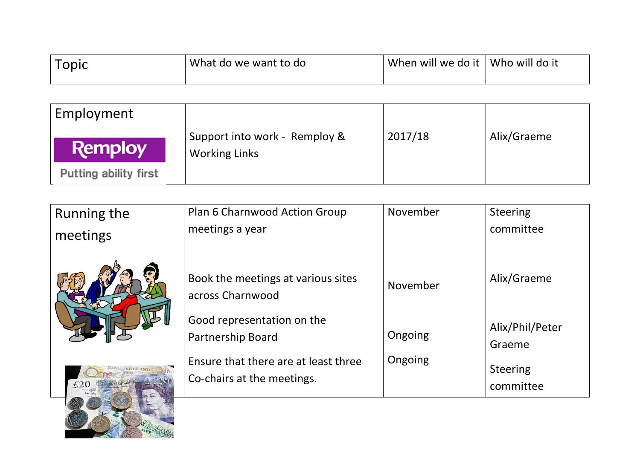| opic | What do we want to do | When will we do it | Who will do it |
|------|-----------------------|--------------------|----------------|
|      |                       |                    |                |

| Employment            |                                                       |         |             |
|-----------------------|-------------------------------------------------------|---------|-------------|
| <b>Remploy</b>        | Support into work - Remploy &<br><b>Working Links</b> | 2017/18 | Alix/Graeme |
| Putting ability first |                                                       |         |             |

| <b>Running the</b><br>meetings | Plan 6 Charnwood Action Group<br>meetings a year                                                                             | November           | <b>Steering</b><br>committee                              |
|--------------------------------|------------------------------------------------------------------------------------------------------------------------------|--------------------|-----------------------------------------------------------|
| -ELVERLAND<br>£20              | Book the meetings at various sites<br>across Charnwood                                                                       | November           | Alix/Graeme                                               |
|                                | Good representation on the<br><b>Partnership Board</b><br>Ensure that there are at least three<br>Co-chairs at the meetings. | Ongoing<br>Ongoing | Alix/Phil/Peter<br>Graeme<br><b>Steering</b><br>committee |
|                                |                                                                                                                              |                    |                                                           |